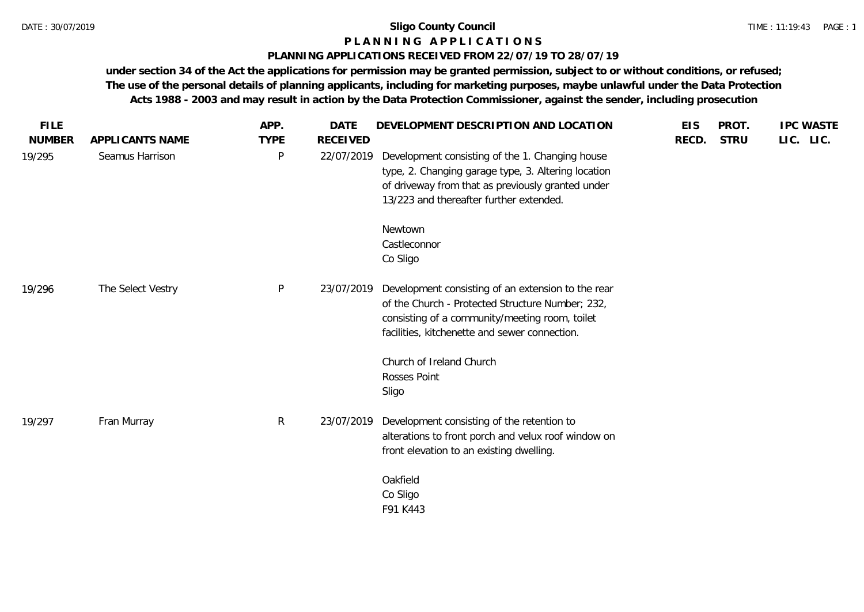# **P L A N N I N G A P P L I C A T I O N S**

# **PLANNING APPLICATIONS RECEIVED FROM 22/07/19 TO 28/07/19**

| <b>FILE</b><br><b>NUMBER</b> | APPLICANTS NAME   | APP.<br><b>TYPE</b> | <b>DATE</b><br><b>RECEIVED</b> | DEVELOPMENT DESCRIPTION AND LOCATION                                                                                                                                                                      | <b>EIS</b><br>RECD. | PROT.<br><b>STRU</b> | <b>IPC WASTE</b><br>LIC. LIC. |
|------------------------------|-------------------|---------------------|--------------------------------|-----------------------------------------------------------------------------------------------------------------------------------------------------------------------------------------------------------|---------------------|----------------------|-------------------------------|
| 19/295                       | Seamus Harrison   | P                   | 22/07/2019                     | Development consisting of the 1. Changing house<br>type, 2. Changing garage type, 3. Altering location<br>of driveway from that as previously granted under<br>13/223 and thereafter further extended.    |                     |                      |                               |
|                              |                   |                     |                                | Newtown<br>Castleconnor<br>Co Sligo                                                                                                                                                                       |                     |                      |                               |
| 19/296                       | The Select Vestry | P                   | 23/07/2019                     | Development consisting of an extension to the rear<br>of the Church - Protected Structure Number; 232,<br>consisting of a community/meeting room, toilet<br>facilities, kitchenette and sewer connection. |                     |                      |                               |
|                              |                   |                     |                                | Church of Ireland Church<br>Rosses Point<br>Sligo                                                                                                                                                         |                     |                      |                               |
| 19/297                       | Fran Murray       | $\mathsf{R}$        | 23/07/2019                     | Development consisting of the retention to<br>alterations to front porch and velux roof window on<br>front elevation to an existing dwelling.                                                             |                     |                      |                               |
|                              |                   |                     |                                | Oakfield<br>Co Sligo<br>F91 K443                                                                                                                                                                          |                     |                      |                               |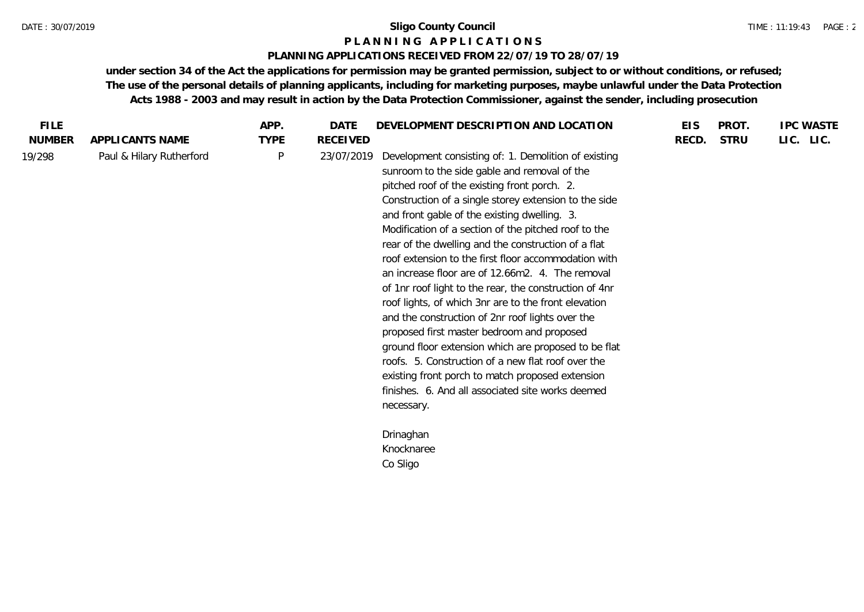### **P L A N N I N G A P P L I C A T I O N S**

# **PLANNING APPLICATIONS RECEIVED FROM 22/07/19 TO 28/07/19**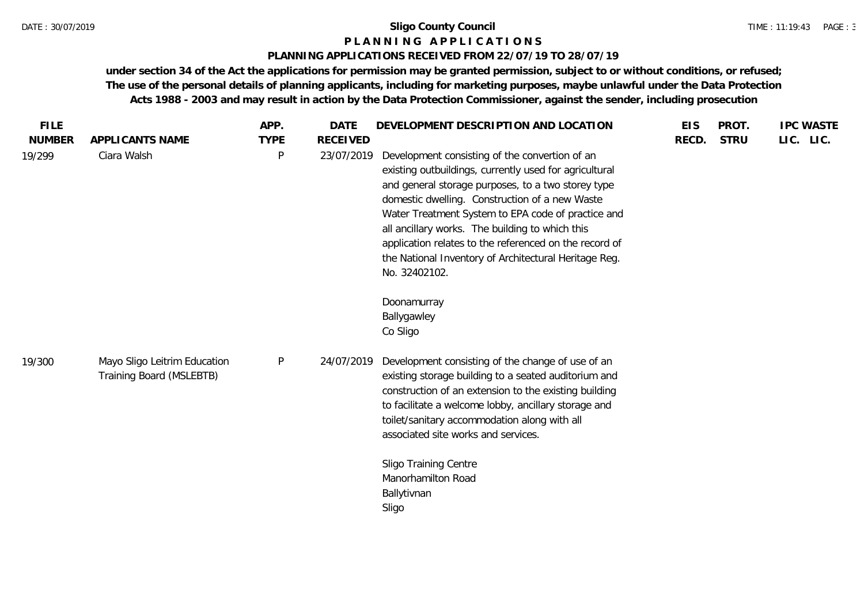### **P L A N N I N G A P P L I C A T I O N S**

# **PLANNING APPLICATIONS RECEIVED FROM 22/07/19 TO 28/07/19**

| <b>FILE</b>   |                                                          | APP.         | <b>DATE</b>     | DEVELOPMENT DESCRIPTION AND LOCATION                                                                                                                                                                                                                                                                                                                                                                                                                                                                    | <b>EIS</b> | PROT.       | <b>IPC WASTE</b> |
|---------------|----------------------------------------------------------|--------------|-----------------|---------------------------------------------------------------------------------------------------------------------------------------------------------------------------------------------------------------------------------------------------------------------------------------------------------------------------------------------------------------------------------------------------------------------------------------------------------------------------------------------------------|------------|-------------|------------------|
| <b>NUMBER</b> | APPLICANTS NAME                                          | <b>TYPE</b>  | <b>RECEIVED</b> |                                                                                                                                                                                                                                                                                                                                                                                                                                                                                                         | RECD.      | <b>STRU</b> | LIC. LIC.        |
| 19/299        | Ciara Walsh                                              | $\mathsf{P}$ | 23/07/2019      | Development consisting of the convertion of an<br>existing outbuildings, currently used for agricultural<br>and general storage purposes, to a two storey type<br>domestic dwelling. Construction of a new Waste<br>Water Treatment System to EPA code of practice and<br>all ancillary works. The building to which this<br>application relates to the referenced on the record of<br>the National Inventory of Architectural Heritage Reg.<br>No. 32402102.<br>Doonamurray<br>Ballygawley<br>Co Sligo |            |             |                  |
| 19/300        | Mayo Sligo Leitrim Education<br>Training Board (MSLEBTB) | P            | 24/07/2019      | Development consisting of the change of use of an<br>existing storage building to a seated auditorium and<br>construction of an extension to the existing building<br>to facilitate a welcome lobby, ancillary storage and<br>toilet/sanitary accommodation along with all<br>associated site works and services.<br>Sligo Training Centre<br>Manorhamilton Road<br>Ballytivnan<br>Sligo                                                                                                                |            |             |                  |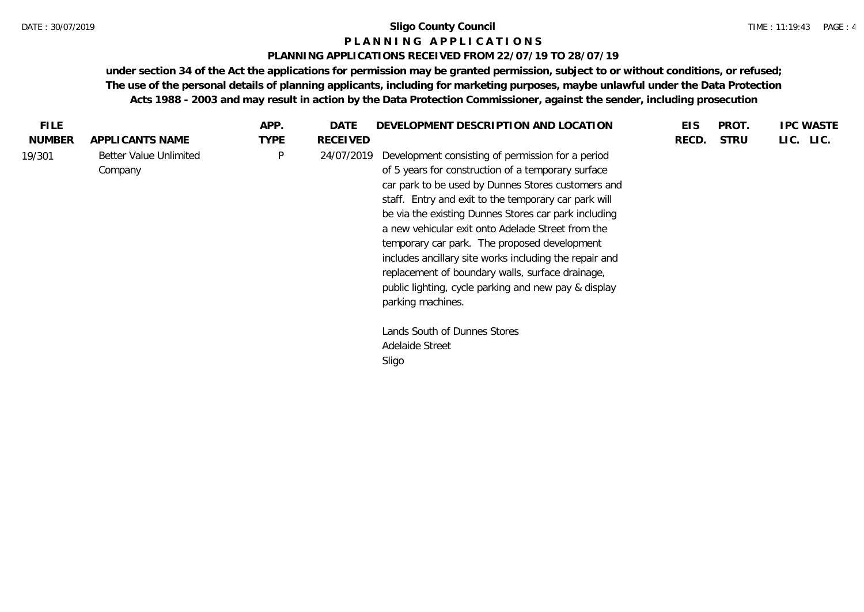### **P L A N N I N G A P P L I C A T I O N S**

# **PLANNING APPLICATIONS RECEIVED FROM 22/07/19 TO 28/07/19**

| <b>FILE</b>   |                                   | APP.        | DATE            | DEVELOPMENT DESCRIPTION AND LOCATION                                                                                                                                                                                                                                                                                                                                                                                                                                                                                                                                                                                                      | <b>EIS</b> | <b>PROT</b> | <b>IPC WASTE</b> |
|---------------|-----------------------------------|-------------|-----------------|-------------------------------------------------------------------------------------------------------------------------------------------------------------------------------------------------------------------------------------------------------------------------------------------------------------------------------------------------------------------------------------------------------------------------------------------------------------------------------------------------------------------------------------------------------------------------------------------------------------------------------------------|------------|-------------|------------------|
| <b>NUMBER</b> | APPLICANTS NAME                   | <b>TYPE</b> | <b>RECEIVED</b> |                                                                                                                                                                                                                                                                                                                                                                                                                                                                                                                                                                                                                                           | RECD.      | <b>STRU</b> | LIC. LIC.        |
| 19/301        | Better Value Unlimited<br>Company | P           | 24/07/2019      | Development consisting of permission for a period<br>of 5 years for construction of a temporary surface<br>car park to be used by Dunnes Stores customers and<br>staff. Entry and exit to the temporary car park will<br>be via the existing Dunnes Stores car park including<br>a new vehicular exit onto Adelade Street from the<br>temporary car park. The proposed development<br>includes ancillary site works including the repair and<br>replacement of boundary walls, surface drainage,<br>public lighting, cycle parking and new pay & display<br>parking machines.<br>Lands South of Dunnes Stores<br>Adelaide Street<br>Sligo |            |             |                  |
|               |                                   |             |                 |                                                                                                                                                                                                                                                                                                                                                                                                                                                                                                                                                                                                                                           |            |             |                  |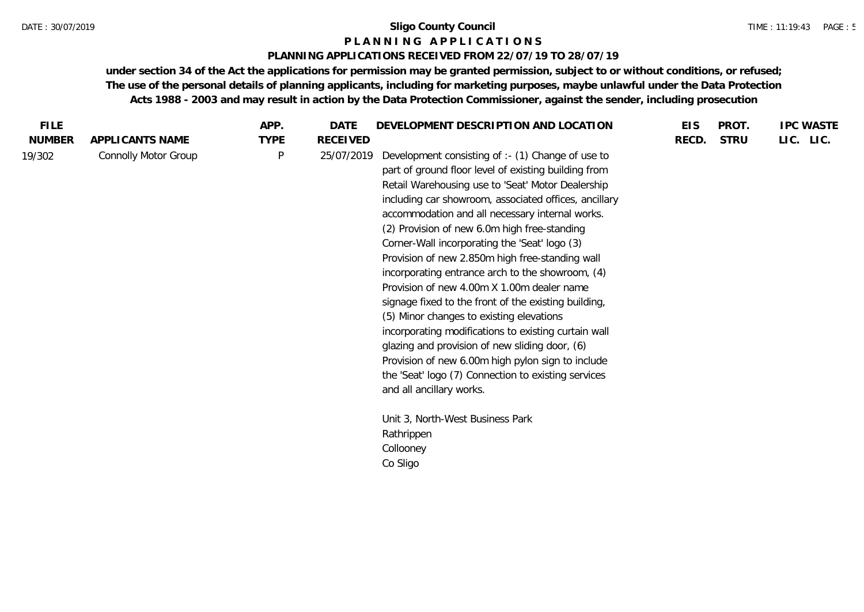# **P L A N N I N G A P P L I C A T I O N S**

# **PLANNING APPLICATIONS RECEIVED FROM 22/07/19 TO 28/07/19**

| <b>FILE</b>   |                             | APP.         | <b>DATE</b> | DEVELOPMENT DESCRIPTION AND LOCATION                                                                                                                                                                                                                                                                                                                                                                                                                                                                                                                                                                                                                                                                                                                                                                                                                                                   | <b>EIS</b> | PROT.       | <b>IPC WASTE</b> |
|---------------|-----------------------------|--------------|-------------|----------------------------------------------------------------------------------------------------------------------------------------------------------------------------------------------------------------------------------------------------------------------------------------------------------------------------------------------------------------------------------------------------------------------------------------------------------------------------------------------------------------------------------------------------------------------------------------------------------------------------------------------------------------------------------------------------------------------------------------------------------------------------------------------------------------------------------------------------------------------------------------|------------|-------------|------------------|
| <b>NUMBER</b> | APPLICANTS NAME             | <b>TYPE</b>  | RECEIVED    |                                                                                                                                                                                                                                                                                                                                                                                                                                                                                                                                                                                                                                                                                                                                                                                                                                                                                        | RECD.      | <b>STRU</b> | LIC. LIC.        |
| 19/302        | <b>Connolly Motor Group</b> | $\mathsf{P}$ | 25/07/2019  | Development consisting of :- (1) Change of use to<br>part of ground floor level of existing building from<br>Retail Warehousing use to 'Seat' Motor Dealership<br>including car showroom, associated offices, ancillary<br>accommodation and all necessary internal works.<br>(2) Provision of new 6.0m high free-standing<br>Corner-Wall incorporating the 'Seat' logo (3)<br>Provision of new 2.850m high free-standing wall<br>incorporating entrance arch to the showroom, (4)<br>Provision of new 4.00m X 1.00m dealer name<br>signage fixed to the front of the existing building,<br>(5) Minor changes to existing elevations<br>incorporating modifications to existing curtain wall<br>glazing and provision of new sliding door, (6)<br>Provision of new 6.00m high pylon sign to include<br>the 'Seat' logo (7) Connection to existing services<br>and all ancillary works. |            |             |                  |
|               |                             |              |             | Unit 3, North-West Business Park<br>Rathrippen                                                                                                                                                                                                                                                                                                                                                                                                                                                                                                                                                                                                                                                                                                                                                                                                                                         |            |             |                  |
|               |                             |              |             | Collooney                                                                                                                                                                                                                                                                                                                                                                                                                                                                                                                                                                                                                                                                                                                                                                                                                                                                              |            |             |                  |
|               |                             |              |             | Co Sligo                                                                                                                                                                                                                                                                                                                                                                                                                                                                                                                                                                                                                                                                                                                                                                                                                                                                               |            |             |                  |
|               |                             |              |             |                                                                                                                                                                                                                                                                                                                                                                                                                                                                                                                                                                                                                                                                                                                                                                                                                                                                                        |            |             |                  |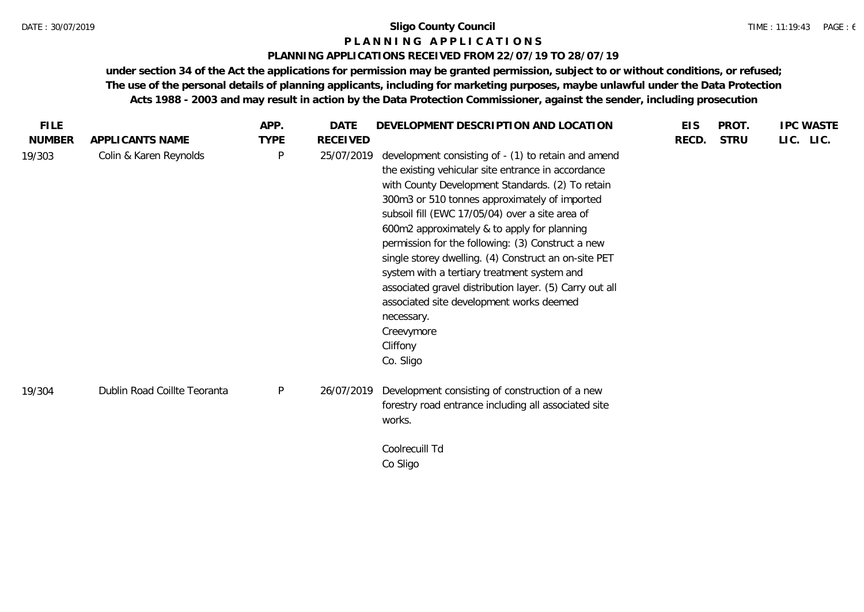# **P L A N N I N G A P P L I C A T I O N S**

# **PLANNING APPLICATIONS RECEIVED FROM 22/07/19 TO 28/07/19**

| <b>FILE</b>   |                              | APP.         | <b>DATE</b> | DEVELOPMENT DESCRIPTION AND LOCATION                                                                                                                                                                                                                                                                                                                                                                                                                                                                                                                                                                                                     | <b>EIS</b> | PROT.       | <b>IPC WASTE</b> |
|---------------|------------------------------|--------------|-------------|------------------------------------------------------------------------------------------------------------------------------------------------------------------------------------------------------------------------------------------------------------------------------------------------------------------------------------------------------------------------------------------------------------------------------------------------------------------------------------------------------------------------------------------------------------------------------------------------------------------------------------------|------------|-------------|------------------|
| <b>NUMBER</b> | APPLICANTS NAME              | <b>TYPE</b>  | RECEIVED    |                                                                                                                                                                                                                                                                                                                                                                                                                                                                                                                                                                                                                                          | RECD.      | <b>STRU</b> | LIC. LIC.        |
| 19/303        | Colin & Karen Reynolds       | $\mathsf{P}$ | 25/07/2019  | development consisting of - (1) to retain and amend<br>the existing vehicular site entrance in accordance<br>with County Development Standards. (2) To retain<br>300m3 or 510 tonnes approximately of imported<br>subsoil fill (EWC 17/05/04) over a site area of<br>600m2 approximately & to apply for planning<br>permission for the following: (3) Construct a new<br>single storey dwelling. (4) Construct an on-site PET<br>system with a tertiary treatment system and<br>associated gravel distribution layer. (5) Carry out all<br>associated site development works deemed<br>necessary.<br>Creevymore<br>Cliffony<br>Co. Sligo |            |             |                  |
| 19/304        | Dublin Road Coillte Teoranta | P            | 26/07/2019  | Development consisting of construction of a new<br>forestry road entrance including all associated site<br>works.                                                                                                                                                                                                                                                                                                                                                                                                                                                                                                                        |            |             |                  |
|               |                              |              |             | Coolrecuill Td                                                                                                                                                                                                                                                                                                                                                                                                                                                                                                                                                                                                                           |            |             |                  |
|               |                              |              |             | Co Sligo                                                                                                                                                                                                                                                                                                                                                                                                                                                                                                                                                                                                                                 |            |             |                  |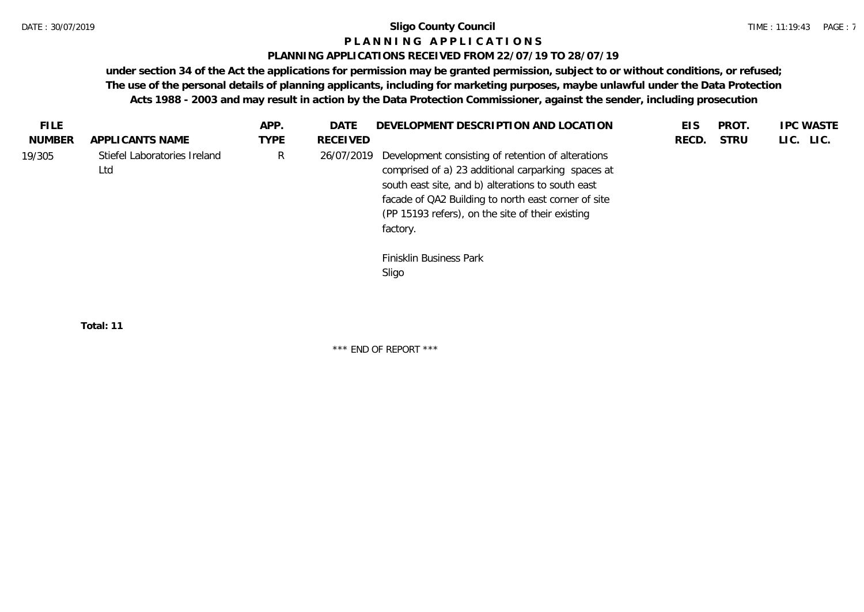# **P L A N N I N G A P P L I C A T I O N S**

# **PLANNING APPLICATIONS RECEIVED FROM 22/07/19 TO 28/07/19**

**under section 34 of the Act the applications for permission may be granted permission, subject to or without conditions, or refused; The use of the personal details of planning applicants, including for marketing purposes, maybe unlawful under the Data Protection Acts 1988 - 2003 and may result in action by the Data Protection Commissioner, against the sender, including prosecution**

| FILE.         |                                     | APP.        | DATE       | DEVELOPMENT DESCRIPTION AND LOCATION                                                                                                                                                                                                                                                 | EIS   | PROT.       | <b>IPC WASTE</b> |
|---------------|-------------------------------------|-------------|------------|--------------------------------------------------------------------------------------------------------------------------------------------------------------------------------------------------------------------------------------------------------------------------------------|-------|-------------|------------------|
| <b>NUMBER</b> | APPLICANTS NAME                     | <b>TYPE</b> | RECEIVED   |                                                                                                                                                                                                                                                                                      | RECD. | <b>STRU</b> | LIC. LIC.        |
| 19/305        | Stiefel Laboratories Ireland<br>Ltd | R           | 26/07/2019 | Development consisting of retention of alterations<br>comprised of a) 23 additional carparking spaces at<br>south east site, and b) alterations to south east<br>facade of QA2 Building to north east corner of site<br>(PP 15193 refers), on the site of their existing<br>factory. |       |             |                  |
|               |                                     |             |            | Finisklin Business Park<br>Sligo                                                                                                                                                                                                                                                     |       |             |                  |

**Total: 11**

\*\*\* END OF REPORT \*\*\*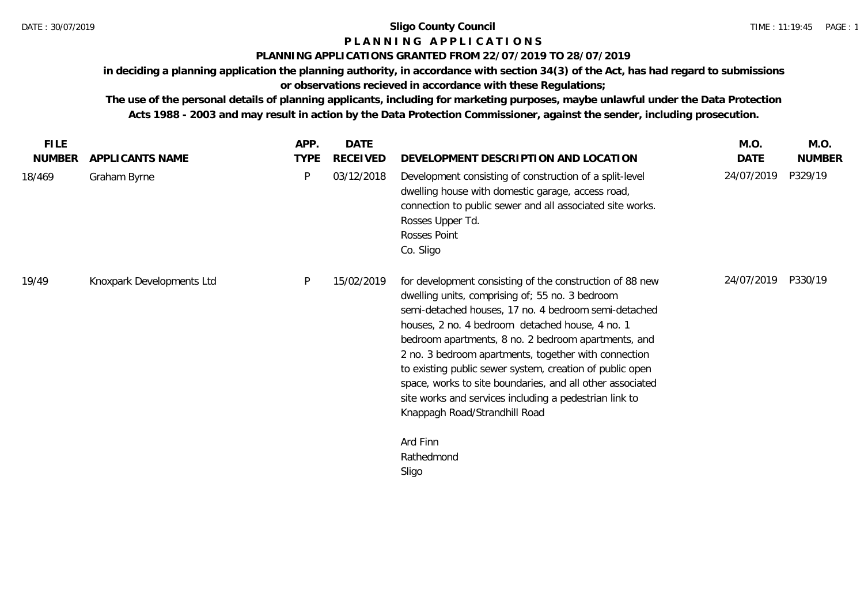# **P L A N N I N G A P P L I C A T I O N S**

# **PLANNING APPLICATIONS GRANTED FROM 22/07/2019 TO 28/07/2019**

**in deciding a planning application the planning authority, in accordance with section 34(3) of the Act, has had regard to submissions or observations recieved in accordance with these Regulations;**

| <b>FILE</b>   |                           | APP.        | <b>DATE</b>     |                                                                                                                                                                                                                                                                                                                                                                                                                                                                                                                                                           | M.O.       | M.O.          |
|---------------|---------------------------|-------------|-----------------|-----------------------------------------------------------------------------------------------------------------------------------------------------------------------------------------------------------------------------------------------------------------------------------------------------------------------------------------------------------------------------------------------------------------------------------------------------------------------------------------------------------------------------------------------------------|------------|---------------|
| <b>NUMBER</b> | APPLICANTS NAME           | <b>TYPE</b> | <b>RECEIVED</b> | DEVELOPMENT DESCRIPTION AND LOCATION                                                                                                                                                                                                                                                                                                                                                                                                                                                                                                                      | DATE       | <b>NUMBER</b> |
| 18/469        | Graham Byrne              | P           | 03/12/2018      | Development consisting of construction of a split-level<br>dwelling house with domestic garage, access road,<br>connection to public sewer and all associated site works.<br>Rosses Upper Td.<br>Rosses Point<br>Co. Sligo                                                                                                                                                                                                                                                                                                                                | 24/07/2019 | P329/19       |
| 19/49         | Knoxpark Developments Ltd | P           | 15/02/2019      | for development consisting of the construction of 88 new<br>dwelling units, comprising of; 55 no. 3 bedroom<br>semi-detached houses, 17 no. 4 bedroom semi-detached<br>houses, 2 no. 4 bedroom detached house, 4 no. 1<br>bedroom apartments, 8 no. 2 bedroom apartments, and<br>2 no. 3 bedroom apartments, together with connection<br>to existing public sewer system, creation of public open<br>space, works to site boundaries, and all other associated<br>site works and services including a pedestrian link to<br>Knappagh Road/Strandhill Road | 24/07/2019 | P330/19       |
|               |                           |             |                 | Ard Finn<br>Rathedmond<br>Sligo                                                                                                                                                                                                                                                                                                                                                                                                                                                                                                                           |            |               |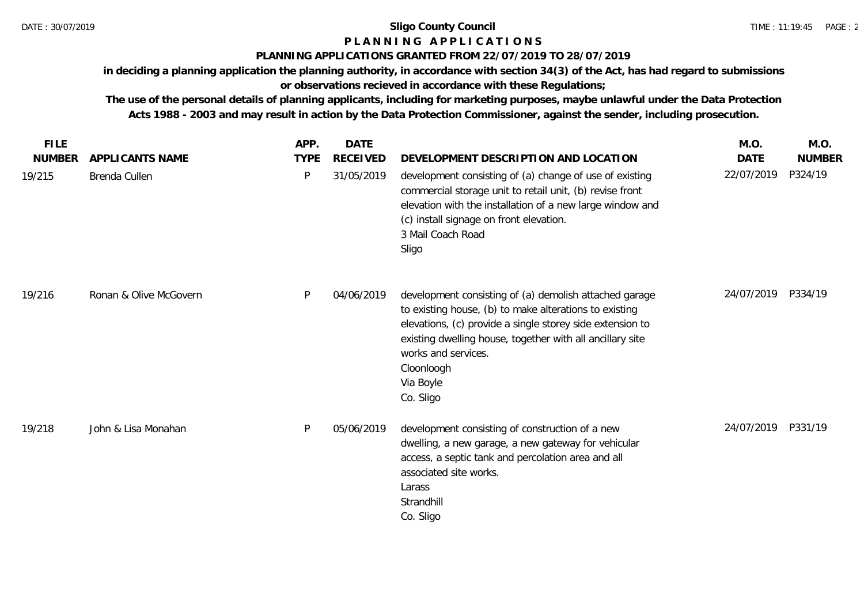# **P L A N N I N G A P P L I C A T I O N S**

# **PLANNING APPLICATIONS GRANTED FROM 22/07/2019 TO 28/07/2019**

**in deciding a planning application the planning authority, in accordance with section 34(3) of the Act, has had regard to submissions** 

**or observations recieved in accordance with these Regulations;**

| <b>FILE</b>   |                        | APP.        | <b>DATE</b>     |                                                                                                                                                                                                                                                                                                           | M.O.        | M.O.          |
|---------------|------------------------|-------------|-----------------|-----------------------------------------------------------------------------------------------------------------------------------------------------------------------------------------------------------------------------------------------------------------------------------------------------------|-------------|---------------|
| <b>NUMBER</b> | APPLICANTS NAME        | <b>TYPE</b> | <b>RECEIVED</b> | DEVELOPMENT DESCRIPTION AND LOCATION                                                                                                                                                                                                                                                                      | <b>DATE</b> | <b>NUMBER</b> |
| 19/215        | Brenda Cullen          | P           | 31/05/2019      | development consisting of (a) change of use of existing<br>commercial storage unit to retail unit, (b) revise front<br>elevation with the installation of a new large window and<br>(c) install signage on front elevation.<br>3 Mail Coach Road<br>Sligo                                                 | 22/07/2019  | P324/19       |
| 19/216        | Ronan & Olive McGovern | P           | 04/06/2019      | development consisting of (a) demolish attached garage<br>to existing house, (b) to make alterations to existing<br>elevations, (c) provide a single storey side extension to<br>existing dwelling house, together with all ancillary site<br>works and services.<br>Cloonloogh<br>Via Boyle<br>Co. Sligo | 24/07/2019  | P334/19       |
| 19/218        | John & Lisa Monahan    | P           | 05/06/2019      | development consisting of construction of a new<br>dwelling, a new garage, a new gateway for vehicular<br>access, a septic tank and percolation area and all<br>associated site works.<br>Larass<br>Strandhill<br>Co. Sligo                                                                               | 24/07/2019  | P331/19       |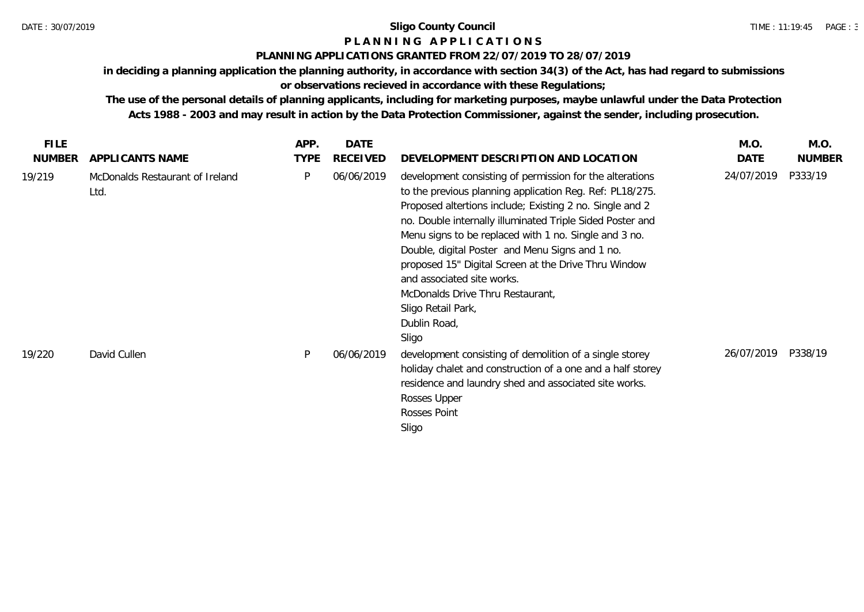# **P L A N N I N G A P P L I C A T I O N S**

# **PLANNING APPLICATIONS GRANTED FROM 22/07/2019 TO 28/07/2019**

**in deciding a planning application the planning authority, in accordance with section 34(3) of the Act, has had regard to submissions** 

# **or observations recieved in accordance with these Regulations;**

| <b>FILE</b> |                                         | APP.        | <b>DATE</b>     |                                                                                                                                                                                                                                                                                                                                                                                                                                                                                                                                    | M.O.       | M.O.          |
|-------------|-----------------------------------------|-------------|-----------------|------------------------------------------------------------------------------------------------------------------------------------------------------------------------------------------------------------------------------------------------------------------------------------------------------------------------------------------------------------------------------------------------------------------------------------------------------------------------------------------------------------------------------------|------------|---------------|
| NUMBER      | APPLICANTS NAME                         | <b>TYPE</b> | <b>RECEIVED</b> | DEVELOPMENT DESCRIPTION AND LOCATION                                                                                                                                                                                                                                                                                                                                                                                                                                                                                               | DATE       | <b>NUMBER</b> |
| 19/219      | McDonalds Restaurant of Ireland<br>Ltd. | P           | 06/06/2019      | development consisting of permission for the alterations<br>to the previous planning application Reg. Ref: PL18/275.<br>Proposed altertions include; Existing 2 no. Single and 2<br>no. Double internally illuminated Triple Sided Poster and<br>Menu signs to be replaced with 1 no. Single and 3 no.<br>Double, digital Poster and Menu Signs and 1 no.<br>proposed 15" Digital Screen at the Drive Thru Window<br>and associated site works.<br>McDonalds Drive Thru Restaurant,<br>Sligo Retail Park,<br>Dublin Road,<br>Sligo | 24/07/2019 | P333/19       |
| 19/220      | David Cullen                            | D           | 06/06/2019      | development consisting of demolition of a single storey<br>holiday chalet and construction of a one and a half storey<br>residence and laundry shed and associated site works.<br>Rosses Upper<br>Rosses Point<br>Sligo                                                                                                                                                                                                                                                                                                            | 26/07/2019 | P338/19       |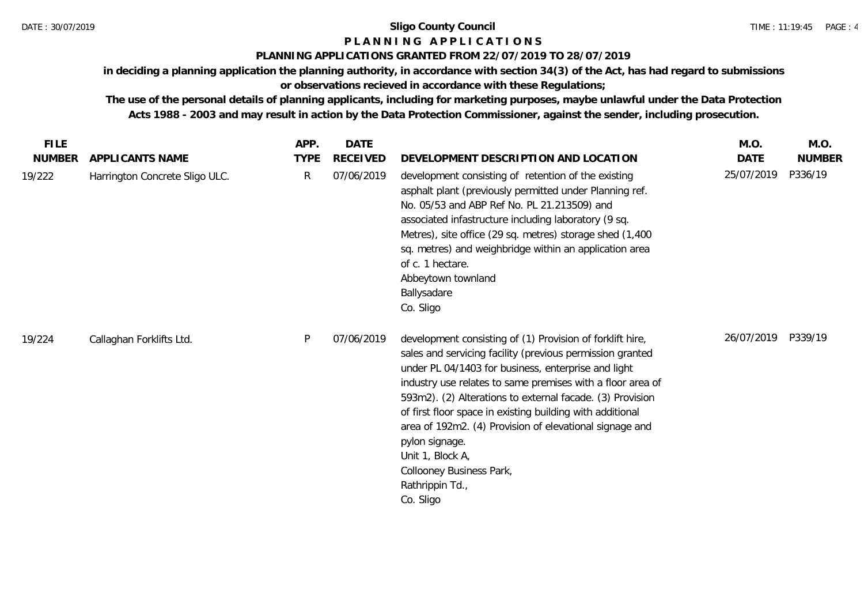# **P L A N N I N G A P P L I C A T I O N S**

# **PLANNING APPLICATIONS GRANTED FROM 22/07/2019 TO 28/07/2019**

**in deciding a planning application the planning authority, in accordance with section 34(3) of the Act, has had regard to submissions** 

**or observations recieved in accordance with these Regulations;**

| <b>FILE</b>   |                                | APP.         | <b>DATE</b>     |                                                                                                                                                                                                                                                                                                                                                                                                                                                                                                                                    | M.O.        | M.O.          |
|---------------|--------------------------------|--------------|-----------------|------------------------------------------------------------------------------------------------------------------------------------------------------------------------------------------------------------------------------------------------------------------------------------------------------------------------------------------------------------------------------------------------------------------------------------------------------------------------------------------------------------------------------------|-------------|---------------|
| <b>NUMBER</b> | APPLICANTS NAME                | <b>TYPE</b>  | <b>RECEIVED</b> | DEVELOPMENT DESCRIPTION AND LOCATION                                                                                                                                                                                                                                                                                                                                                                                                                                                                                               | <b>DATE</b> | <b>NUMBER</b> |
| 19/222        | Harrington Concrete Sligo ULC. | $\mathsf{R}$ | 07/06/2019      | development consisting of retention of the existing<br>asphalt plant (previously permitted under Planning ref.<br>No. 05/53 and ABP Ref No. PL 21.213509) and<br>associated infastructure including laboratory (9 sq.<br>Metres), site office (29 sq. metres) storage shed (1,400<br>sq. metres) and weighbridge within an application area<br>of c. 1 hectare.<br>Abbeytown townland<br>Ballysadare<br>Co. Sligo                                                                                                                  | 25/07/2019  | P336/19       |
| 19/224        | Callaghan Forklifts Ltd.       | P            | 07/06/2019      | development consisting of (1) Provision of forklift hire,<br>sales and servicing facility (previous permission granted<br>under PL 04/1403 for business, enterprise and light<br>industry use relates to same premises with a floor area of<br>593m2). (2) Alterations to external facade. (3) Provision<br>of first floor space in existing building with additional<br>area of 192m2. (4) Provision of elevational signage and<br>pylon signage.<br>Unit 1, Block A,<br>Collooney Business Park,<br>Rathrippin Td.,<br>Co. Sligo | 26/07/2019  | P339/19       |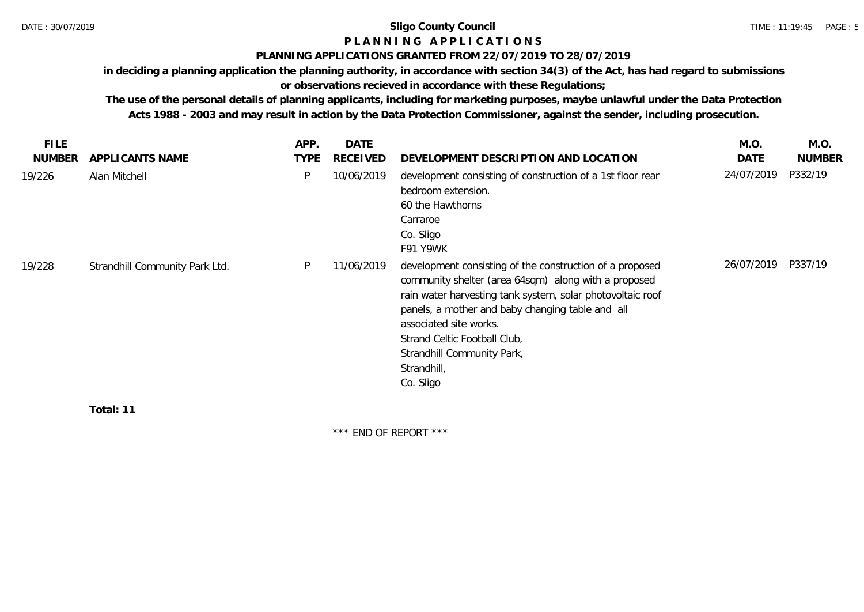# **P L A N N I N G A P P L I C A T I O N S**

# **PLANNING APPLICATIONS GRANTED FROM 22/07/2019 TO 28/07/2019**

**in deciding a planning application the planning authority, in accordance with section 34(3) of the Act, has had regard to submissions** 

# **or observations recieved in accordance with these Regulations;**

**The use of the personal details of planning applicants, including for marketing purposes, maybe unlawful under the Data Protection Acts 1988 - 2003 and may result in action by the Data Protection Commissioner, against the sender, including prosecution.**

| <b>FILE</b>   |                                | APP.        | <b>DATE</b>     |                                                                                                                                                                                                                                                                                                                                                        | M.O.       | M.O.          |
|---------------|--------------------------------|-------------|-----------------|--------------------------------------------------------------------------------------------------------------------------------------------------------------------------------------------------------------------------------------------------------------------------------------------------------------------------------------------------------|------------|---------------|
| <b>NUMBER</b> | APPLICANTS NAME                | <b>TYPE</b> | <b>RECEIVED</b> | DEVELOPMENT DESCRIPTION AND LOCATION                                                                                                                                                                                                                                                                                                                   | DATE       | <b>NUMBER</b> |
| 19/226        | Alan Mitchell                  | P           | 10/06/2019      | development consisting of construction of a 1st floor rear<br>bedroom extension.<br>60 the Hawthorns<br>Carraroe<br>Co. Sligo<br>F91 Y9WK                                                                                                                                                                                                              | 24/07/2019 | P332/19       |
| 19/228        | Strandhill Community Park Ltd. | P           | 11/06/2019      | development consisting of the construction of a proposed<br>community shelter (area 64sqm) along with a proposed<br>rain water harvesting tank system, solar photovoltaic roof<br>panels, a mother and baby changing table and all<br>associated site works.<br>Strand Celtic Football Club,<br>Strandhill Community Park,<br>Strandhill,<br>Co. Sligo | 26/07/2019 | P337/19       |

**Total: 11**

\*\*\* END OF REPORT \*\*\*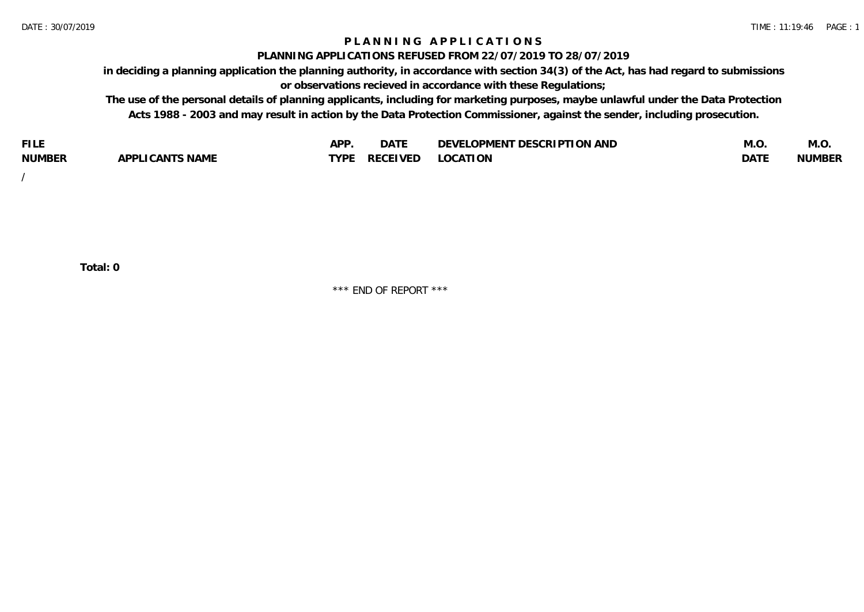# **P L A N N I N G A P P L I C A T I O N S**

#### **PLANNING APPLICATIONS REFUSED FROM 22/07/2019 TO 28/07/2019**

**in deciding a planning application the planning authority, in accordance with section 34(3) of the Act, has had regard to submissions or observations recieved in accordance with these Regulations;**

**The use of the personal details of planning applicants, including for marketing purposes, maybe unlawful under the Data Protection Acts 1988 - 2003 and may result in action by the Data Protection Commissioner, against the sender, including prosecution.**

| <b>FILE</b>   |                                                     | A DE | $\sim$ $\sim$ $\sim$<br>DA I | <b>ENT DESCRIPTION AND</b><br>$\cap$ nn.<br>)E\/F<br>. JIEN L<br>பட | IVI.U       | IVI.U         |
|---------------|-----------------------------------------------------|------|------------------------------|---------------------------------------------------------------------|-------------|---------------|
| <b>NUMBER</b> | <b>ANTS NAME</b><br>A DDI<br>$\sqrt{2}$<br>CAN<br>u | TVDL | ◡⊢                           | <b>OCATION</b>                                                      | <b>DATF</b> | <b>NUMBER</b> |

/

**Total: 0**

\*\*\* END OF REPORT \*\*\*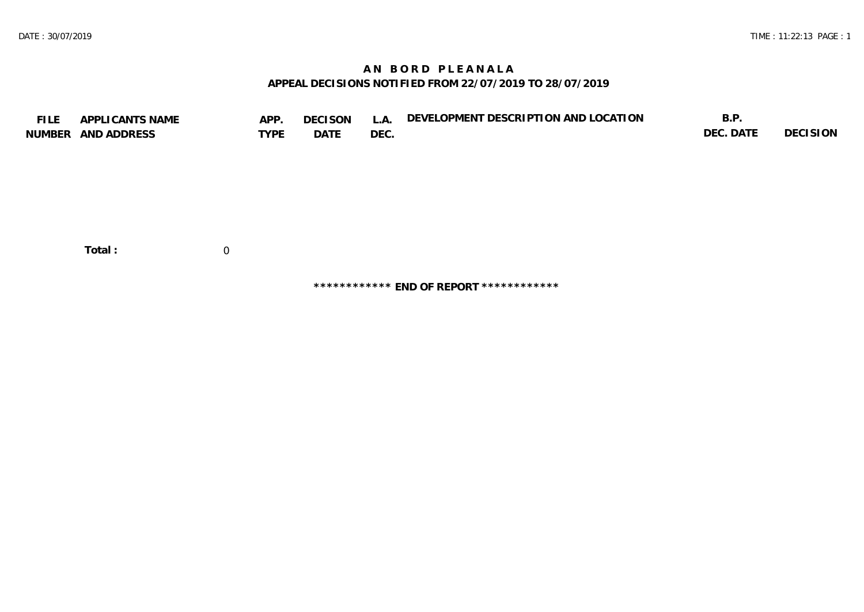# **A N B O R D P L E A N A L A APPEAL DECISIONS NOTIFIED FROM 22/07/2019 TO 28/07/2019**

| <b>FILE</b> | APPLICANTS NAME    | APP.           | <b>DECISON</b> | L.A. | DEVELOPMENT DESCRIPTION AND LOCATION | B.P.      |          |
|-------------|--------------------|----------------|----------------|------|--------------------------------------|-----------|----------|
|             | NUMBER AND ADDRESS | <b>TYPE</b>    | DATE           | DEC. |                                      | DEC. DATE | DECISION |
|             |                    |                |                |      |                                      |           |          |
|             |                    |                |                |      |                                      |           |          |
|             |                    |                |                |      |                                      |           |          |
|             |                    |                |                |      |                                      |           |          |
|             |                    |                |                |      |                                      |           |          |
|             |                    |                |                |      |                                      |           |          |
|             |                    |                |                |      |                                      |           |          |
|             | Total:             | $\overline{0}$ |                |      |                                      |           |          |
|             |                    |                |                |      |                                      |           |          |
|             |                    |                |                |      |                                      |           |          |

**\*\*\*\*\*\*\*\*\*\*\*\* END OF REPORT \*\*\*\*\*\*\*\*\*\*\*\***